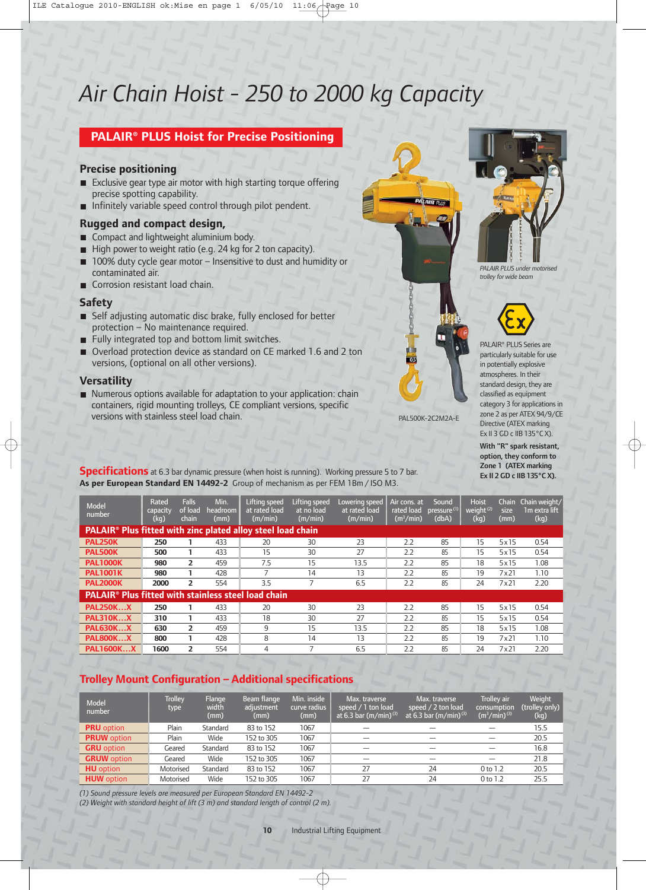# *Air Chain Hoist - 250 to 2000 kg Capacity*

# **PALAIR® PLUS Hoist for Precise Positioning**

#### **Precise positioning**

- Exclusive gear type air motor with high starting torque offering precise spotting capability.
- Infinitely variable speed control through pilot pendent.

#### **Rugged and compact design,**

- Compact and lightweight aluminium body.
- High power to weight ratio (e.g. 24 kg for 2 ton capacity).
- 100% duty cycle gear motor Insensitive to dust and humidity or contaminated air.
- Corrosion resistant load chain.

### **Safety**

- Self adjusting automatic disc brake, fully enclosed for better protection – No maintenance required.
- $\blacksquare$  Fully integrated top and bottom limit switches.
- Overload protection device as standard on CE marked 1.6 and 2 ton versions, (optional on all other versions).

#### **Versatility**

Numerous options available for adaptation to your application: chain containers, rigid mounting trolleys, CE compliant versions, specific versions with stainless steel load chain.



*PALAIR PLUS under motorised trolley for wide beam*



PALAIR® PLUS Series are particularly suitable for use in potentially explosive atmospheres. In their standard design, they are classified as equipment category 3 for applications in zone 2 as per ATEX 94/9/CE Directive (ATEX marking Ex II 3 GD c IIB 135°C X).

PAL500K-2C2M2A-E

With "R" spark resistant, option, they conform to Zone 1 (ATEX marking Ex II 2 GD c IIB 135°C X).

**Specifications** at 6.3 bar dynamic pressure (when hoist is running). Working pressure 5 to 7 bar. **As per European Standard EN 14492-2** Group of mechanism as per FEM 1Bm / ISO M3.

| <b>Model</b><br>number                                                        | Rated<br>capacity<br>(kq) | <b>Falls</b><br>of load<br>chain | Min.<br>headroom  <br>(mm) | Lifting speed<br>at rated load<br>(m/min) | Lifting speed<br>at no load<br>(m/min) | Lowering speed<br>at rated load<br>(m/min) | Air cons. at<br>rated load<br>(m <sup>3</sup> /min) | Sound<br>pressure <sup>(1)</sup><br>(dbA) | <b>Hoist</b><br>weight <sup>(2)</sup><br>(kg) | Chain<br>size<br>(mm) | Chain weight/<br>1m extra lift<br>(kq) |
|-------------------------------------------------------------------------------|---------------------------|----------------------------------|----------------------------|-------------------------------------------|----------------------------------------|--------------------------------------------|-----------------------------------------------------|-------------------------------------------|-----------------------------------------------|-----------------------|----------------------------------------|
| <b>PALAIR<sup>®</sup> Plus fitted with zinc plated alloy steel load chain</b> |                           |                                  |                            |                                           |                                        |                                            |                                                     |                                           |                                               |                       |                                        |
| <b>PAL250K</b>                                                                | 250                       |                                  | 433                        | 20                                        | 30                                     | 23                                         | 2.2                                                 | 85                                        | 15                                            | 5x15                  | 0.54                                   |
| <b>PAL500K</b>                                                                | 500                       |                                  | 433                        | 15                                        | 30                                     | 27                                         | 2.2                                                 | 85                                        | 15                                            | 5x15                  | 0.54                                   |
| <b>PAL1000K</b>                                                               | 980                       | $\overline{2}$                   | 459                        | 7.5                                       | 15                                     | 13.5                                       | 2.2                                                 | 85                                        | 18                                            | 5x15                  | 1.08                                   |
| <b>PAL1001K</b>                                                               | 980                       |                                  | 428                        |                                           | 14                                     | 13                                         | 2.2                                                 | 85                                        | 19                                            | 7x21                  | 1.10                                   |
| <b>PAL2000K</b>                                                               | 2000                      | 2                                | 554                        | 3.5                                       |                                        | 6.5                                        | 2.2                                                 | 85                                        | 24                                            | 7x21                  | 2.20                                   |
| <b>PALAIR<sup>®</sup> Plus fitted with stainless steel load chain</b>         |                           |                                  |                            |                                           |                                        |                                            |                                                     |                                           |                                               |                       |                                        |
| <b>PAL250KX</b>                                                               | 250                       |                                  | 433                        | 20                                        | 30                                     | 23                                         | 2.2                                                 | 85                                        | 15                                            | 5x15                  | 0.54                                   |
| <b>PAL310KX</b>                                                               | 310                       |                                  | 433                        | 18                                        | 30                                     | 27                                         | 2.2                                                 | 85                                        | 15                                            | 5x15                  | 0.54                                   |
| <b>PAL630KX</b>                                                               | 630                       | $\overline{2}$                   | 459                        | 9                                         | 15                                     | 13.5                                       | 2.2                                                 | 85                                        | 18                                            | 5x15                  | 1.08                                   |
| <b>PAL800KX</b>                                                               | 800                       |                                  | 428                        | 8                                         | 14                                     | 13                                         | 2.2                                                 | 85                                        | 19                                            | 7x21                  | 1.10                                   |
| <b>PAL1600KX</b>                                                              | 1600                      | $\overline{2}$                   | 554                        | 4                                         | $\overline{ }$                         | 6.5                                        | 2.2                                                 | 85                                        | 24                                            | 7x21                  | 2.20                                   |

# **Trolley Mount Configuration – Additional specifications**

| <b>Model</b><br>number | <b>Trolley</b><br>type | Flange<br>width<br>(mm) | Beam flange<br>adjustment<br>(mm) | Min. inside<br>curve radius<br>(mm) | Max. traverse<br>speed / 1 ton load<br>at 6.3 bar (m/min) <sup>(3)</sup> | Max. traverse<br>speed / 2 ton load<br>at 6.3 bar $(m/min)^{(3)}$ | <b>Trolley air</b><br>consumption<br>$(m^3/min)^{(3)}$ | Weight<br>(trolley only)<br>(kg) |
|------------------------|------------------------|-------------------------|-----------------------------------|-------------------------------------|--------------------------------------------------------------------------|-------------------------------------------------------------------|--------------------------------------------------------|----------------------------------|
| <b>PRU</b> option      | Plain                  | Standard                | 83 to 152                         | 1067                                |                                                                          |                                                                   |                                                        | 15.5                             |
| <b>PRUW</b> option     | Plain                  | Wide                    | 152 to 305                        | 1067                                | -                                                                        |                                                                   |                                                        | 20.5                             |
| <b>GRU</b> option      | Geared                 | Standard                | 83 to 152                         | 1067                                | _                                                                        | _                                                                 |                                                        | 16.8                             |
| <b>GRUW</b> option     | Geared                 | Wide                    | 152 to 305                        | 1067                                |                                                                          |                                                                   |                                                        | 21.8                             |
| <b>HU</b> option       | Motorised              | Standard                | 83 to 152                         | 1067                                | 27                                                                       | 24                                                                | 0 to 1.2                                               | 20.5                             |
| <b>HUW</b> option      | Motorised              | Wide                    | 152 to 305                        | 1067                                | 27                                                                       | 24                                                                | 0 to 1.2                                               | 25.5                             |

*(1) Sound pressure levels are measured per European Standard EN 14492-2 (2) Weight with standard height of lift (3 m) and standard length of control (2 m).*